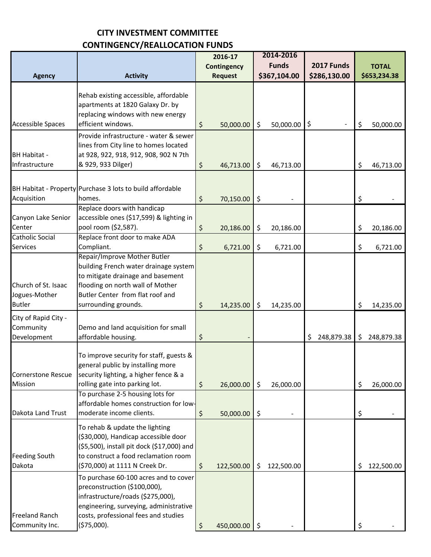## **CITY INVESTMENT COMMITTEE CONTINGENCY/REALLOCATION FUNDS**

|                                                       |                                                                                                                                                                                                                                                                   | 2016-17                             | 2014-2016              |                   |                         |  |
|-------------------------------------------------------|-------------------------------------------------------------------------------------------------------------------------------------------------------------------------------------------------------------------------------------------------------------------|-------------------------------------|------------------------|-------------------|-------------------------|--|
|                                                       |                                                                                                                                                                                                                                                                   | <b>Contingency</b>                  | <b>Funds</b>           | <b>2017 Funds</b> | <b>TOTAL</b>            |  |
| <b>Agency</b>                                         | <b>Activity</b>                                                                                                                                                                                                                                                   | <b>Request</b>                      | \$367,104.00           | \$286,130.00      | \$653,234.38            |  |
| <b>Accessible Spaces</b>                              | Rehab existing accessible, affordable<br>apartments at 1820 Galaxy Dr. by<br>replacing windows with new energy<br>efficient windows.                                                                                                                              | \$<br>50,000.00                     | \$<br>50,000.00        | \$                | \$<br>50,000.00         |  |
| <b>BH Habitat -</b><br>Infrastructure                 | Provide infrastructure - water & sewer<br>lines from City line to homes located<br>at 928, 922, 918, 912, 908, 902 N 7th<br>& 929, 933 Dilger)                                                                                                                    | \$<br>46,713.00                     | \$<br>46,713.00        |                   | \$<br>46,713.00         |  |
| Acquisition                                           | BH Habitat - Property Purchase 3 lots to build affordable<br>homes.<br>Replace doors with handicap                                                                                                                                                                | \$<br>70,150.00                     | \$                     |                   | \$                      |  |
| Canyon Lake Senior<br>Center<br>Catholic Social       | accessible ones (\$17,599) & lighting in<br>pool room (\$2,587).<br>Replace front door to make ADA                                                                                                                                                                | \$<br>20,186.00                     | \$<br>20,186.00        |                   | \$<br>20,186.00         |  |
| <b>Services</b>                                       | Compliant.                                                                                                                                                                                                                                                        | \$<br>6,721.00                      | \$<br>6,721.00         |                   | \$<br>6,721.00          |  |
| Church of St. Isaac<br>Jogues-Mother<br><b>Butler</b> | Repair/Improve Mother Butler<br>building French water drainage system<br>to mitigate drainage and basement<br>flooding on north wall of Mother<br>Butler Center from flat roof and<br>surrounding grounds.                                                        | \$<br>14,235.00                     | \$<br>14,235.00        |                   | \$<br>14,235.00         |  |
| City of Rapid City -<br>Community<br>Development      | Demo and land acquisition for small<br>affordable housing.                                                                                                                                                                                                        | \$                                  |                        | 248,879.38<br>S   | \$<br>248,879.38        |  |
| Cornerstone Rescue<br>Mission<br>Dakota Land Trust    | To improve security for staff, guests &<br>general public by installing more<br>security lighting, a higher fence & a<br>rolling gate into parking lot.<br>To purchase 2-5 housing lots for<br>affordable homes construction for low-<br>moderate income clients. | \$<br>26,000.00                     | 26,000.00<br>\$        |                   | \$<br>26,000.00         |  |
| <b>Feeding South</b><br>Dakota                        | To rehab & update the lighting<br>(\$30,000), Handicap accessible door<br>(\$5,500), install pit dock (\$17,000) and<br>to construct a food reclamation room<br>(\$70,000) at 1111 N Creek Dr.                                                                    | \$<br>50,000.00<br>\$<br>122,500.00 | \$<br>122,500.00<br>\$ |                   | \$<br>122,500.00<br>\$. |  |
| <b>Freeland Ranch</b><br>Community Inc.               | To purchase 60-100 acres and to cover<br>preconstruction (\$100,000),<br>infrastructure/roads (\$275,000),<br>engineering, surveying, administrative<br>costs, professional fees and studies<br>(\$75,000).                                                       | \$<br>450,000.00                    | \$                     |                   | \$                      |  |